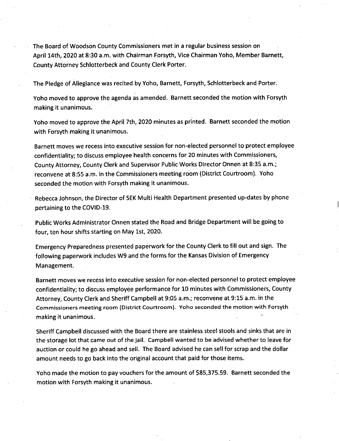The Board of Woodson County Commissioners met in a regular business session on April 14th, 2020 at 8:30 a.m. with Chairman Forsyth, Vice Chairman Yoho, Member Barnett, County Attorney Schlotterbeck and County Clerk Porter.

The Pledge of Allegiance was recited by Yoho, Barnett, Forsyth, Schlotterbeck and Porter.

Yoho moved to approve the agenda as amended. Barnett seconded the motion with Forsyth making it unanimous.

Yoho moved to approve the April 7th, 2020 minutes as printed. Barnett seconded the motion with Forsyth making it unanimous.

Barnett moves we recess into executive session for non-elected personnel to protect employee confidentiality; to discuss employee health concerns for 20 minutes with Commissioners, County Attorney, County Clerk and Supervisor Public Works Director Onnen at 8:35 a.m.; reconvene at 8:55 a.m. in the Commissioners meeting room (District Courtroom). Yoho seconded the motion with Forsyth making it unanimous.

Rebecca Johnson, the Director of SEK Multi Health Department presented up-dates by phone pertaining to the COVID-19.

Public Works Administrator Onnen stated the Road and Bridge Department will be going to four, ten hour shifts starting on May 1st, 2020.

Emergency Preparedness presented paperwork for the County Clerk to fill out and sign. The following paperwork includes W9 and the forms for the Kansas Division of Emergency Management.

Barnett moves we recess into executive session for non-elected personnel to protect employee confidentiality; to discuss employee performance for 10 minutes with Commissioners, County Attorney, County Clerk and Sheriff Campbell at 9:05 a.m.; reconvene at 9:15 a.m. in the Commissioners meeting room (District Courtroom). Yoho seconded the motion with Forsyth making it unanimous.

Sheriff Campbell discussed with the Board there are stainless steel stools and sinks that are in the storage lot that came out of the jail. Campbell wanted to be advised whether to leave for auction or could he go ahead and sell. The Board advised he can sell for scrap and the dollar amount needs to go back into the original account that paid for those items.

Yoho made the motion to pay vouchers for the amount of \$85,375.59. Barnett seconded the motion with Forsyth making it unanimous.